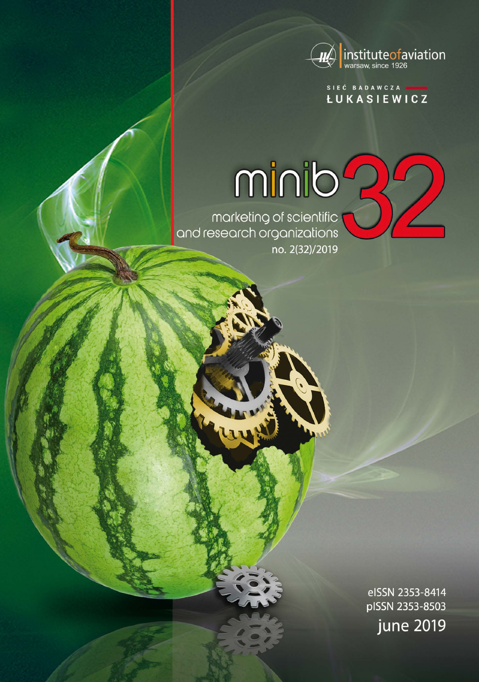

SIEĆ BADAWCZA **LUKASIEWICZ** 

# minib<sup>2</sup>

marketing of scientific<br>and research organizations no. 2(32)/2019

> elSSN 2353-8414 pISSN 2353-8503 june 2019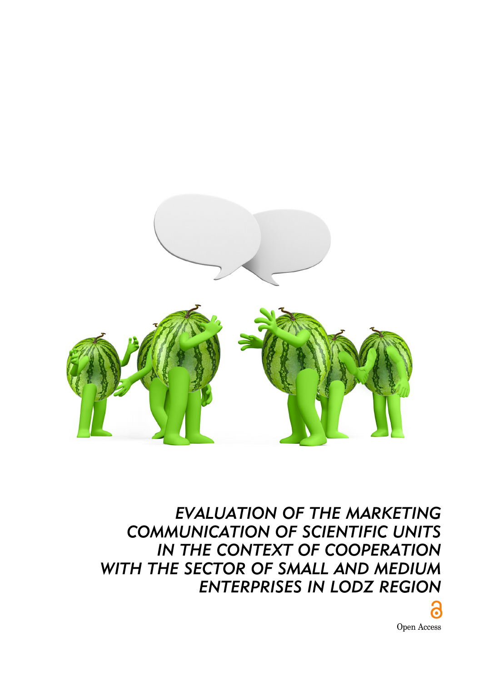

*EVALUATION OF THE MARKETING COMMUNICATION OF SCIENTIFIC UNITS*  **IN THE CONTEXT OF COOPERATION** *WITH THE SECTOR OF SMALL AND MEDIUM ENTERPRISES IN LODZ REGION*

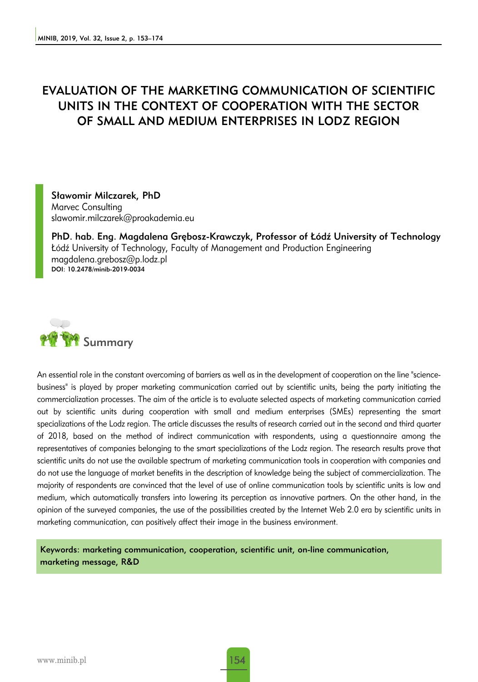# EVALUATION OF THE MARKETING COMMUNICATION OF SCIENTIFIC UNITS IN THE CONTEXT OF COOPERATION WITH THE SECTOR OF SMALL AND MEDIUM ENTERPRISES IN LODZ REGION

Sławomir Milczarek, PhD Marvec Consulting slawomir.milczarek@proakademia.eu

PhD. hab. Eng. Magdalena Grębosz-Krawczyk, Professor of Łódź University of Technology Łódź University of Technology, Faculty of Management and Production Engineering magdalena.grebosz@p.lodz.pl DOI: 10.2478/minib-2019-0034



An essential role in the constant overcoming of barriers as well as in the development of cooperation on the line "sciencebusiness" is played by proper marketing communication carried out by scientific units, being the party initiating the commercialization processes. The aim of the article is to evaluate selected aspects of marketing communication carried out by scientific units during cooperation with small and medium enterprises (SMEs) representing the smart specializations of the Lodz region. The article discusses the results of research carried out in the second and third quarter of 2018, based on the method of indirect communication with respondents, using a questionnaire among the representatives of companies belonging to the smart specializations of the Lodz region. The research results prove that scientific units do not use the available spectrum of marketing communication tools in cooperation with companies and do not use the language of market benefits in the description of knowledge being the subject of commercialization. The majority of respondents are convinced that the level of use of online communication tools by scientific units is low and medium, which automatically transfers into lowering its perception as innovative partners. On the other hand, in the opinion of the surveyed companies, the use of the possibilities created by the Internet Web 2.0 era by scientific units in marketing communication, can positively affect their image in the business environment.

Keywords: marketing communication, cooperation, scientific unit, on-line communication, marketing message, R&D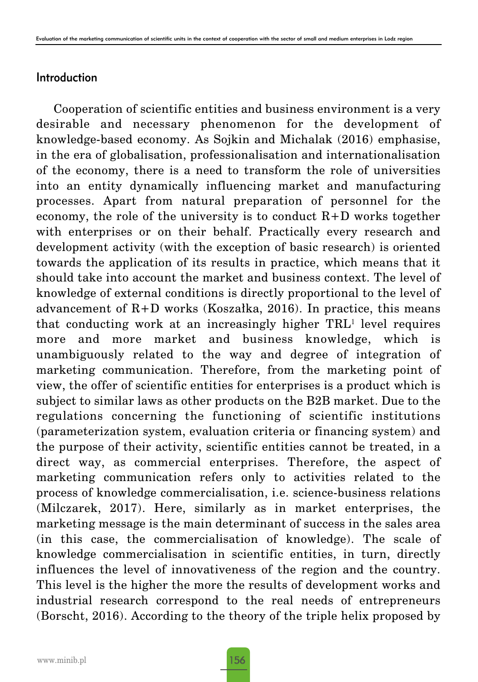# Introduction

Cooperation of scientific entities and business environment is a very desirable and necessary phenomenon for the development of knowledge-based economy. As Sojkin and Michalak (2016) emphasise, in the era of globalisation, professionalisation and internationalisation of the economy, there is a need to transform the role of universities into an entity dynamically influencing market and manufacturing processes. Apart from natural preparation of personnel for the economy, the role of the university is to conduct  $R+D$  works together with enterprises or on their behalf. Practically every research and development activity (with the exception of basic research) is oriented towards the application of its results in practice, which means that it should take into account the market and business context. The level of knowledge of external conditions is directly proportional to the level of advancement of  $R+D$  works (Koszałka, 2016). In practice, this means that conducting work at an increasingly higher TRL<sup>1</sup> level requires more and more market and business knowledge, which is unambiguously related to the way and degree of integration of marketing communication. Therefore, from the marketing point of view, the offer of scientific entities for enterprises is a product which is subject to similar laws as other products on the B2B market. Due to the regulations concerning the functioning of scientific institutions (parameterization system, evaluation criteria or financing system) and the purpose of their activity, scientific entities cannot be treated, in a direct way, as commercial enterprises. Therefore, the aspect of marketing communication refers only to activities related to the process of knowledge commercialisation, i.e. science-business relations (Milczarek, 2017). Here, similarly as in market enterprises, the marketing message is the main determinant of success in the sales area (in this case, the commercialisation of knowledge). The scale of knowledge commercialisation in scientific entities, in turn, directly influences the level of innovativeness of the region and the country. This level is the higher the more the results of development works and industrial research correspond to the real needs of entrepreneurs (Borscht, 2016). According to the theory of the triple helix proposed by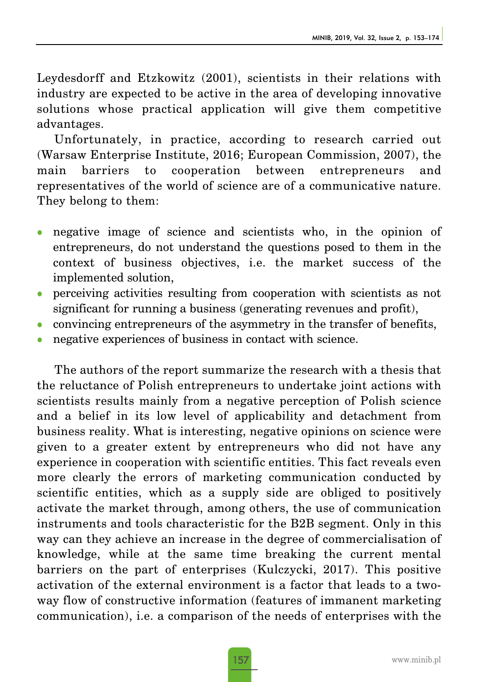Leydesdorff and Etzkowitz (2001), scientists in their relations with industry are expected to be active in the area of developing innovative solutions whose practical application will give them competitive advantages.

Unfortunately, in practice, according to research carried out (Warsaw Enterprise Institute, 2016; European Commission, 2007), the main barriers to cooperation between entrepreneurs and representatives of the world of science are of a communicative nature. They belong to them:

- negative image of science and scientists who, in the opinion of entrepreneurs, do not understand the questions posed to them in the context of business objectives, i.e. the market success of the implemented solution,
- <sup>z</sup> perceiving activities resulting from cooperation with scientists as not significant for running a business (generating revenues and profit),
- <sup>z</sup> convincing entrepreneurs of the asymmetry in the transfer of benefits,
- negative experiences of business in contact with science.

The authors of the report summarize the research with a thesis that the reluctance of Polish entrepreneurs to undertake joint actions with scientists results mainly from a negative perception of Polish science and a belief in its low level of applicability and detachment from business reality. What is interesting, negative opinions on science were given to a greater extent by entrepreneurs who did not have any experience in cooperation with scientific entities. This fact reveals even more clearly the errors of marketing communication conducted by scientific entities, which as a supply side are obliged to positively activate the market through, among others, the use of communication instruments and tools characteristic for the B2B segment. Only in this way can they achieve an increase in the degree of commercialisation of knowledge, while at the same time breaking the current mental barriers on the part of enterprises (Kulczycki, 2017). This positive activation of the external environment is a factor that leads to a twoway flow of constructive information (features of immanent marketing communication), i.e. a comparison of the needs of enterprises with the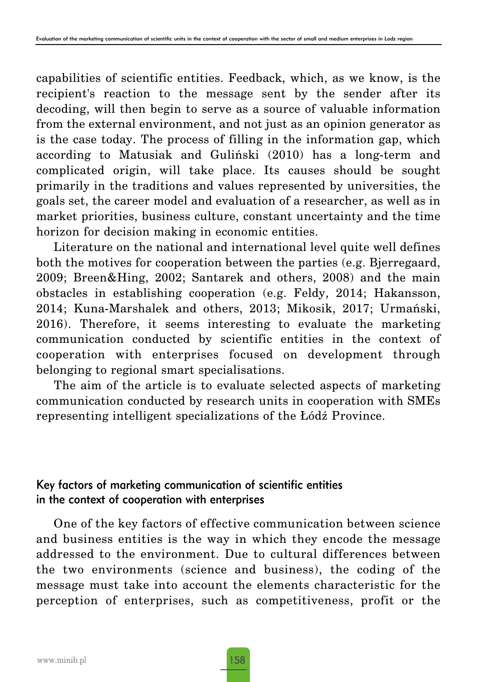capabilities of scientific entities. Feedback, which, as we know, is the recipient's reaction to the message sent by the sender after its decoding, will then begin to serve as a source of valuable information from the external environment, and not just as an opinion generator as is the case today. The process of filling in the information gap, which according to Matusiak and Guliński (2010) has a long-term and complicated origin, will take place. Its causes should be sought primarily in the traditions and values represented by universities, the goals set, the career model and evaluation of a researcher, as well as in market priorities, business culture, constant uncertainty and the time horizon for decision making in economic entities.

Literature on the national and international level quite well defines both the motives for cooperation between the parties (e.g. Bjerregaard, 2009; Breen&Hing, 2002; Santarek and others, 2008) and the main obstacles in establishing cooperation (e.g. Feldy, 2014; Hakansson, 2014; Kuna-Marshalek and others, 2013; Mikosik, 2017; Urmański, 2016). Therefore, it seems interesting to evaluate the marketing communication conducted by scientific entities in the context of cooperation with enterprises focused on development through belonging to regional smart specialisations.

The aim of the article is to evaluate selected aspects of marketing communication conducted by research units in cooperation with SMEs representing intelligent specializations of the Łódź Province.

# Key factors of marketing communication of scientific entities in the context of cooperation with enterprises

One of the key factors of effective communication between science and business entities is the way in which they encode the message addressed to the environment. Due to cultural differences between the two environments (science and business), the coding of the message must take into account the elements characteristic for the perception of enterprises, such as competitiveness, profit or the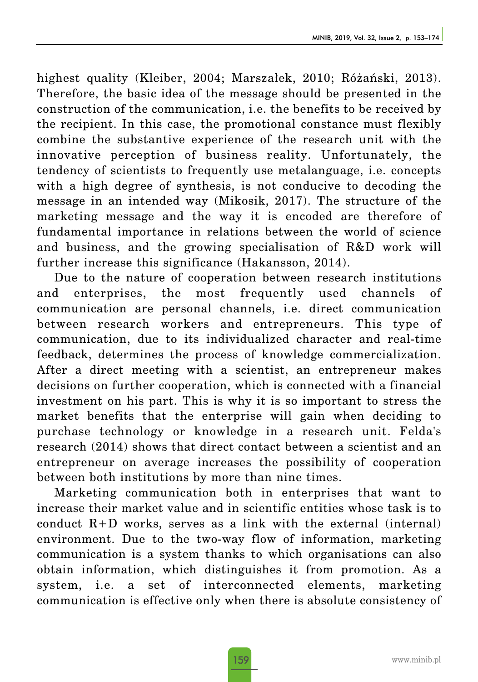highest quality (Kleiber, 2004; Marszałek, 2010; Różański, 2013). Therefore, the basic idea of the message should be presented in the construction of the communication, i.e. the benefits to be received by the recipient. In this case, the promotional constance must flexibly combine the substantive experience of the research unit with the innovative perception of business reality. Unfortunately, the tendency of scientists to frequently use metalanguage, i.e. concepts with a high degree of synthesis, is not conducive to decoding the message in an intended way (Mikosik, 2017). The structure of the marketing message and the way it is encoded are therefore of fundamental importance in relations between the world of science and business, and the growing specialisation of R&D work will further increase this significance (Hakansson, 2014).

Due to the nature of cooperation between research institutions and enterprises, the most frequently used channels of communication are personal channels, i.e. direct communication between research workers and entrepreneurs. This type of communication, due to its individualized character and real-time feedback, determines the process of knowledge commercialization. After a direct meeting with a scientist, an entrepreneur makes decisions on further cooperation, which is connected with a financial investment on his part. This is why it is so important to stress the market benefits that the enterprise will gain when deciding to purchase technology or knowledge in a research unit. Felda's research (2014) shows that direct contact between a scientist and an entrepreneur on average increases the possibility of cooperation between both institutions by more than nine times.

Marketing communication both in enterprises that want to increase their market value and in scientific entities whose task is to conduct  $R+D$  works, serves as a link with the external (internal) environment. Due to the two-way flow of information, marketing communication is a system thanks to which organisations can also obtain information, which distinguishes it from promotion. As a system, i.e. a set of interconnected elements, marketing communication is effective only when there is absolute consistency of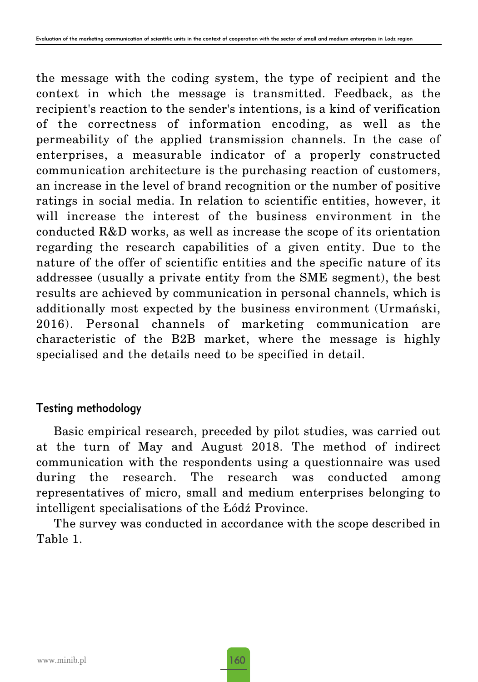the message with the coding system, the type of recipient and the context in which the message is transmitted. Feedback, as the recipient's reaction to the sender's intentions, is a kind of verification of the correctness of information encoding, as well as the permeability of the applied transmission channels. In the case of enterprises, a measurable indicator of a properly constructed communication architecture is the purchasing reaction of customers, an increase in the level of brand recognition or the number of positive ratings in social media. In relation to scientific entities, however, it will increase the interest of the business environment in the conducted R&D works, as well as increase the scope of its orientation regarding the research capabilities of a given entity. Due to the nature of the offer of scientific entities and the specific nature of its addressee (usually a private entity from the SME segment), the best results are achieved by communication in personal channels, which is additionally most expected by the business environment (Urmański, 2016). Personal channels of marketing communication are characteristic of the B2B market, where the message is highly specialised and the details need to be specified in detail.

# Testing methodology

Basic empirical research, preceded by pilot studies, was carried out at the turn of May and August 2018. The method of indirect communication with the respondents using a questionnaire was used during the research. The research was conducted among representatives of micro, small and medium enterprises belonging to intelligent specialisations of the Łódź Province.

The survey was conducted in accordance with the scope described in Table 1.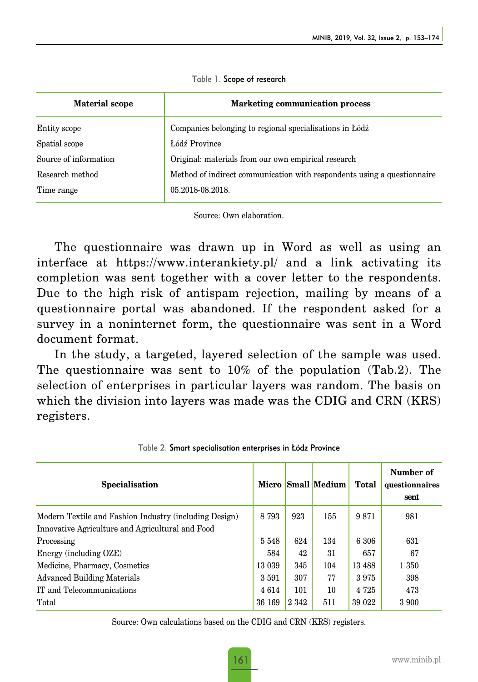| <b>Material scope</b> | <b>Marketing communication process</b>                                  |  |  |  |  |
|-----------------------|-------------------------------------------------------------------------|--|--|--|--|
| Entity scope          | Companies belonging to regional specialisations in Łódź                 |  |  |  |  |
| Spatial scope         | Łódź Province                                                           |  |  |  |  |
| Source of information | Original: materials from our own empirical research                     |  |  |  |  |
| Research method       | Method of indirect communication with respondents using a questionnaire |  |  |  |  |
| Time range            | 05.2018-08.2018.                                                        |  |  |  |  |

Table 1. Scope of research

Source: Own elaboration.

The questionnaire was drawn up in Word as well as using an interface at https://www.interankiety.pl/ and a link activating its completion was sent together with a cover letter to the respondents. Due to the high risk of antispam rejection, mailing by means of a questionnaire portal was abandoned. If the respondent asked for a survey in a noninternet form, the questionnaire was sent in a Word document format.

In the study, a targeted, layered selection of the sample was used. The questionnaire was sent to 10% of the population (Tab.2). The selection of enterprises in particular layers was random. The basis on which the division into layers was made was the CDIG and CRN (KRS) registers.

| Specialisation                                         |         |         | Micro Small Medium | <b>Total</b> | Number of<br>questionnaires<br>sent |
|--------------------------------------------------------|---------|---------|--------------------|--------------|-------------------------------------|
| Modern Textile and Fashion Industry (including Design) | 8 7 9 3 | 923     | 155                | 9871         | 981                                 |
| Innovative Agriculture and Agricultural and Food       |         |         |                    |              |                                     |
| Processing                                             | 5548    | 624     | 134                | 6 306        | 631                                 |
| Energy (including OZE)                                 | 584     | 42      | 31                 | 657          | 67                                  |
| Medicine, Pharmacy, Cosmetics                          | 13 039  | 345     | 104                | 13488        | 1 350                               |
| <b>Advanced Building Materials</b>                     | 3591    | 307     | 77                 | 3975         | 398                                 |
| IT and Telecommunications                              | 4614    | 101     | 10                 | 4 7 2 5      | 473                                 |
| Total                                                  | 36 169  | 2 3 4 2 | 511                | 39 022       | 3 900                               |

Table 2. Smart specialisation enterprises in Łódz Province

Source: Own calculations based on the CDIG and CRN (KRS) registers.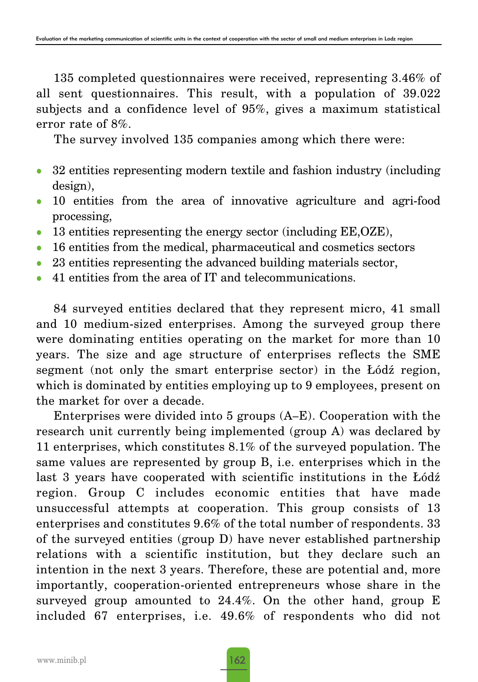135 completed questionnaires were received, representing 3.46% of all sent questionnaires. This result, with a population of 39.022 subjects and a confidence level of 95%, gives a maximum statistical error rate of 8%.

The survey involved 135 companies among which there were:

- 32 entities representing modern textile and fashion industry (including design),
- 10 entities from the area of innovative agriculture and agri-food processing,
- $\bullet$  13 entities representing the energy sector (including  $EE, OZE$ ),
- 16 entities from the medical, pharmaceutical and cosmetics sectors
- $\bullet$  23 entities representing the advanced building materials sector,
- 41 entities from the area of IT and telecommunications.

84 surveyed entities declared that they represent micro, 41 small and 10 medium-sized enterprises. Among the surveyed group there were dominating entities operating on the market for more than 10 years. The size and age structure of enterprises reflects the SME segment (not only the smart enterprise sector) in the Łódź region, which is dominated by entities employing up to 9 employees, present on the market for over a decade.

Enterprises were divided into 5 groups (A–E). Cooperation with the research unit currently being implemented (group A) was declared by 11 enterprises, which constitutes 8.1% of the surveyed population. The same values are represented by group B, i.e. enterprises which in the last 3 years have cooperated with scientific institutions in the Łódź region. Group C includes economic entities that have made unsuccessful attempts at cooperation. This group consists of 13 enterprises and constitutes 9.6% of the total number of respondents. 33 of the surveyed entities (group D) have never established partnership relations with a scientific institution, but they declare such an intention in the next 3 years. Therefore, these are potential and, more importantly, cooperation-oriented entrepreneurs whose share in the surveyed group amounted to 24.4%. On the other hand, group E included 67 enterprises, i.e. 49.6% of respondents who did not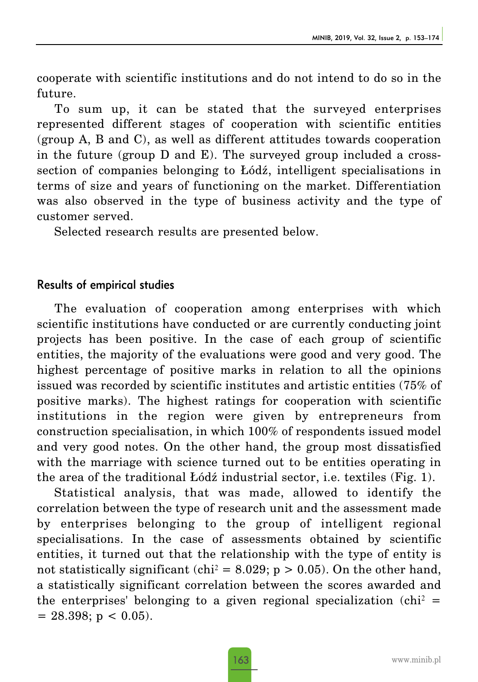cooperate with scientific institutions and do not intend to do so in the future.

To sum up, it can be stated that the surveyed enterprises represented different stages of cooperation with scientific entities (group A, B and C), as well as different attitudes towards cooperation in the future (group D and E). The surveyed group included a crosssection of companies belonging to Łódź, intelligent specialisations in terms of size and years of functioning on the market. Differentiation was also observed in the type of business activity and the type of customer served.

Selected research results are presented below.

### Results of empirical studies

The evaluation of cooperation among enterprises with which scientific institutions have conducted or are currently conducting joint projects has been positive. In the case of each group of scientific entities, the majority of the evaluations were good and very good. The highest percentage of positive marks in relation to all the opinions issued was recorded by scientific institutes and artistic entities (75% of positive marks). The highest ratings for cooperation with scientific institutions in the region were given by entrepreneurs from construction specialisation, in which 100% of respondents issued model and very good notes. On the other hand, the group most dissatisfied with the marriage with science turned out to be entities operating in the area of the traditional Łódź industrial sector, i.e. textiles (Fig. 1).

Statistical analysis, that was made, allowed to identify the correlation between the type of research unit and the assessment made by enterprises belonging to the group of intelligent regional specialisations. In the case of assessments obtained by scientific entities, it turned out that the relationship with the type of entity is not statistically significant (chi<sup>2</sup> = 8.029; p > 0.05). On the other hand, a statistically significant correlation between the scores awarded and the enterprises' belonging to a given regional specialization (chi<sup>2</sup> =  $= 28.398$ ; p < 0.05).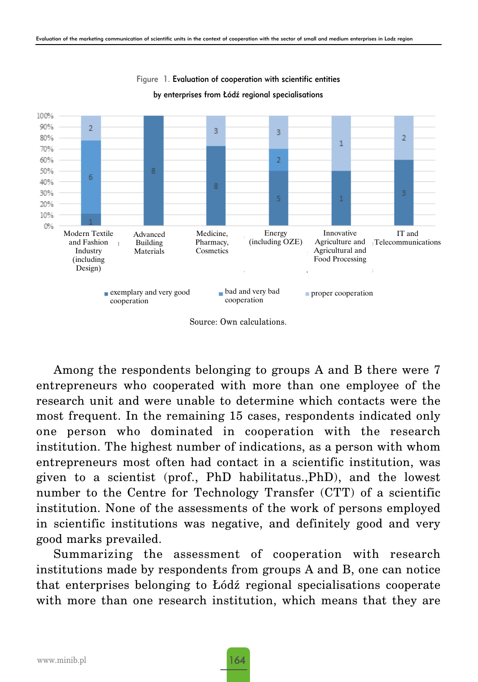

Figure 1. Evaluation of cooperation with scientific entities by enterprises from Łódź regional specialisations

Source: Own calculations.

Among the respondents belonging to groups A and B there were 7 entrepreneurs who cooperated with more than one employee of the research unit and were unable to determine which contacts were the most frequent. In the remaining 15 cases, respondents indicated only one person who dominated in cooperation with the research institution. The highest number of indications, as a person with whom entrepreneurs most often had contact in a scientific institution, was given to a scientist (prof., PhD habilitatus.,PhD), and the lowest number to the Centre for Technology Transfer (CTT) of a scientific institution. None of the assessments of the work of persons employed in scientific institutions was negative, and definitely good and very good marks prevailed.

Summarizing the assessment of cooperation with research institutions made by respondents from groups A and B, one can notice that enterprises belonging to Łódź regional specialisations cooperate with more than one research institution, which means that they are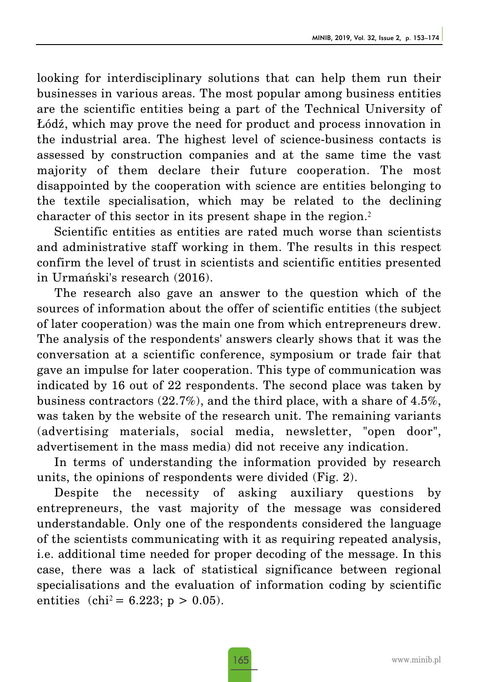looking for interdisciplinary solutions that can help them run their businesses in various areas. The most popular among business entities are the scientific entities being a part of the Technical University of Łódź, which may prove the need for product and process innovation in the industrial area. The highest level of science-business contacts is assessed by construction companies and at the same time the vast majority of them declare their future cooperation. The most disappointed by the cooperation with science are entities belonging to the textile specialisation, which may be related to the declining character of this sector in its present shape in the region.<sup>2</sup>

Scientific entities as entities are rated much worse than scientists and administrative staff working in them. The results in this respect confirm the level of trust in scientists and scientific entities presented in Urmański's research (2016).

The research also gave an answer to the question which of the sources of information about the offer of scientific entities (the subject of later cooperation) was the main one from which entrepreneurs drew. The analysis of the respondents' answers clearly shows that it was the conversation at a scientific conference, symposium or trade fair that gave an impulse for later cooperation. This type of communication was indicated by 16 out of 22 respondents. The second place was taken by business contractors (22.7%), and the third place, with a share of 4.5%, was taken by the website of the research unit. The remaining variants (advertising materials, social media, newsletter, "open door", advertisement in the mass media) did not receive any indication.

In terms of understanding the information provided by research units, the opinions of respondents were divided (Fig. 2).

Despite the necessity of asking auxiliary questions by entrepreneurs, the vast majority of the message was considered understandable. Only one of the respondents considered the language of the scientists communicating with it as requiring repeated analysis, i.e. additional time needed for proper decoding of the message. In this case, there was a lack of statistical significance between regional specialisations and the evaluation of information coding by scientific entities  $(chi^2 = 6.223; p > 0.05)$ .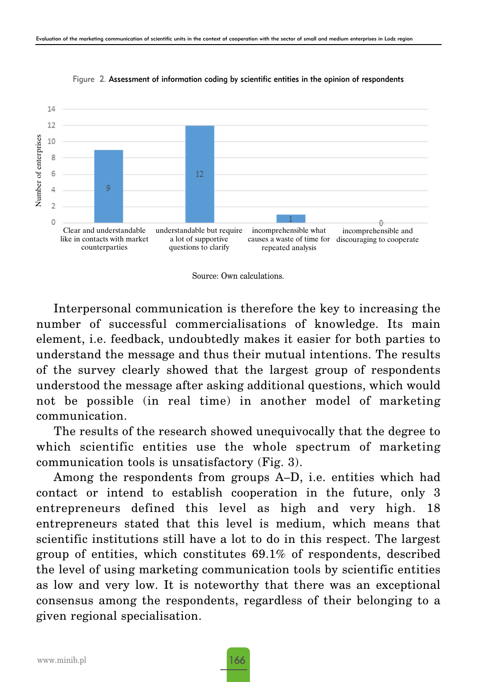

Figure 2. Assessment of information coding by scientific entities in the opinion of respondents



Interpersonal communication is therefore the key to increasing the number of successful commercialisations of knowledge. Its main element, i.e. feedback, undoubtedly makes it easier for both parties to understand the message and thus their mutual intentions. The results of the survey clearly showed that the largest group of respondents understood the message after asking additional questions, which would not be possible (in real time) in another model of marketing communication.

The results of the research showed unequivocally that the degree to which scientific entities use the whole spectrum of marketing communication tools is unsatisfactory (Fig. 3).

Among the respondents from groups A–D, i.e. entities which had contact or intend to establish cooperation in the future, only 3 entrepreneurs defined this level as high and very high. 18 entrepreneurs stated that this level is medium, which means that scientific institutions still have a lot to do in this respect. The largest group of entities, which constitutes 69.1% of respondents, described the level of using marketing communication tools by scientific entities as low and very low. It is noteworthy that there was an exceptional consensus among the respondents, regardless of their belonging to a given regional specialisation.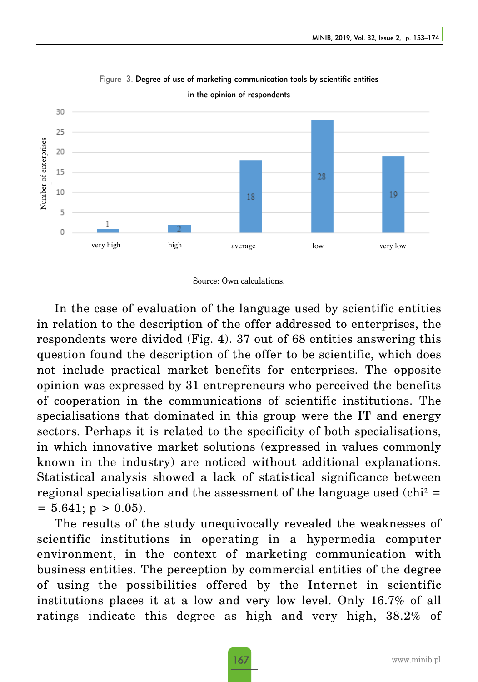

Figure 3. Degree of use of marketing communication tools by scientific entities



In the case of evaluation of the language used by scientific entities in relation to the description of the offer addressed to enterprises, the respondents were divided (Fig. 4). 37 out of 68 entities answering this question found the description of the offer to be scientific, which does not include practical market benefits for enterprises. The opposite opinion was expressed by 31 entrepreneurs who perceived the benefits of cooperation in the communications of scientific institutions. The specialisations that dominated in this group were the IT and energy sectors. Perhaps it is related to the specificity of both specialisations, in which innovative market solutions (expressed in values commonly known in the industry) are noticed without additional explanations. Statistical analysis showed a lack of statistical significance between regional specialisation and the assessment of the language used  $\text{(chi)}^2$  =  $= 5.641$ ; p > 0.05).

The results of the study unequivocally revealed the weaknesses of scientific institutions in operating in a hypermedia computer environment, in the context of marketing communication with business entities. The perception by commercial entities of the degree of using the possibilities offered by the Internet in scientific institutions places it at a low and very low level. Only 16.7% of all ratings indicate this degree as high and very high, 38.2% of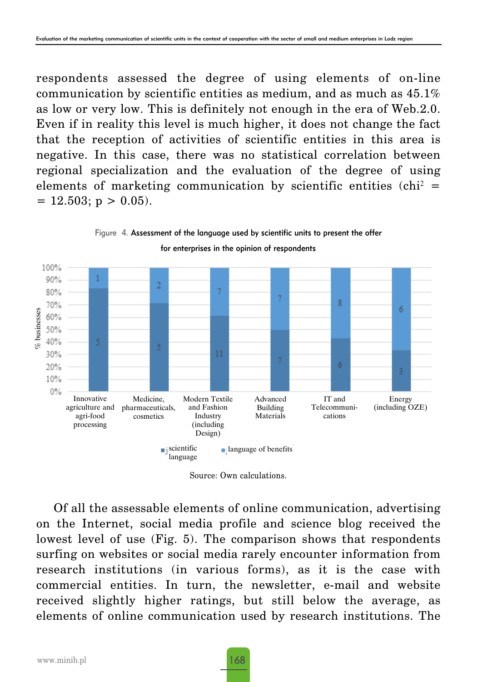respondents assessed the degree of using elements of on-line communication by scientific entities as medium, and as much as 45.1% as low or very low. This is definitely not enough in the era of Web.2.0. Even if in reality this level is much higher, it does not change the fact that the reception of activities of scientific entities in this area is negative. In this case, there was no statistical correlation between regional specialization and the evaluation of the degree of using elements of marketing communication by scientific entities (chi<sup>2</sup> =  $= 12.503$ ; p > 0.05).



Figure 4. Assessment of the language used by scientific units to present the offer for enterprises in the opinion of respondents

Source: Own calculations.

Of all the assessable elements of online communication, advertising on the Internet, social media profile and science blog received the lowest level of use (Fig. 5). The comparison shows that respondents surfing on websites or social media rarely encounter information from research institutions (in various forms), as it is the case with commercial entities. In turn, the newsletter, e-mail and website received slightly higher ratings, but still below the average, as elements of online communication used by research institutions. The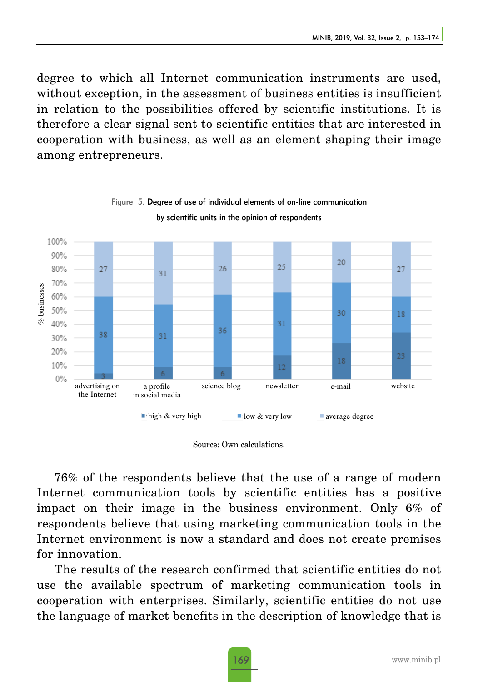degree to which all Internet communication instruments are used, without exception, in the assessment of business entities is insufficient in relation to the possibilities offered by scientific institutions. It is therefore a clear signal sent to scientific entities that are interested in cooperation with business, as well as an element shaping their image among entrepreneurs.



#### Figure 5. Degree of use of individual elements of on-line communication by scientific units in the opinion of respondents

Source: Own calculations.

76% of the respondents believe that the use of a range of modern Internet communication tools by scientific entities has a positive impact on their image in the business environment. Only 6% of respondents believe that using marketing communication tools in the Internet environment is now a standard and does not create premises for innovation.

The results of the research confirmed that scientific entities do not use the available spectrum of marketing communication tools in cooperation with enterprises. Similarly, scientific entities do not use the language of market benefits in the description of knowledge that is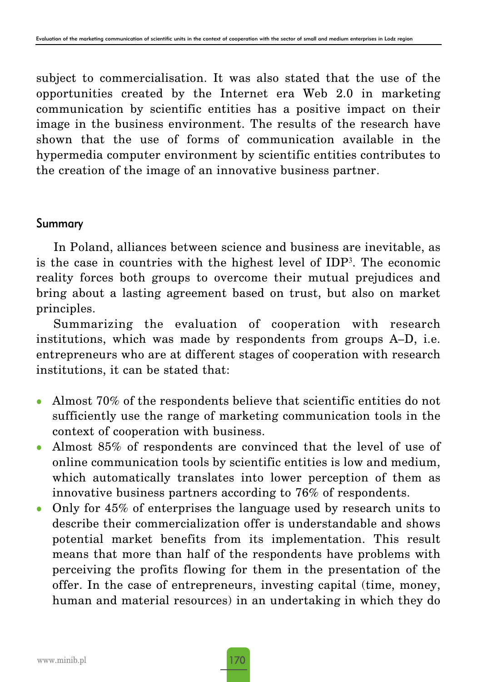subject to commercialisation. It was also stated that the use of the opportunities created by the Internet era Web 2.0 in marketing communication by scientific entities has a positive impact on their image in the business environment. The results of the research have shown that the use of forms of communication available in the hypermedia computer environment by scientific entities contributes to the creation of the image of an innovative business partner.

## Summary

In Poland, alliances between science and business are inevitable, as is the case in countries with the highest level of IDP3. The economic reality forces both groups to overcome their mutual prejudices and bring about a lasting agreement based on trust, but also on market principles.

Summarizing the evaluation of cooperation with research institutions, which was made by respondents from groups A–D, i.e. entrepreneurs who are at different stages of cooperation with research institutions, it can be stated that:

- Almost  $70\%$  of the respondents believe that scientific entities do not sufficiently use the range of marketing communication tools in the context of cooperation with business.
- Almost  $85\%$  of respondents are convinced that the level of use of online communication tools by scientific entities is low and medium, which automatically translates into lower perception of them as innovative business partners according to 76% of respondents.
- Only for  $45\%$  of enterprises the language used by research units to describe their commercialization offer is understandable and shows potential market benefits from its implementation. This result means that more than half of the respondents have problems with perceiving the profits flowing for them in the presentation of the offer. In the case of entrepreneurs, investing capital (time, money, human and material resources) in an undertaking in which they do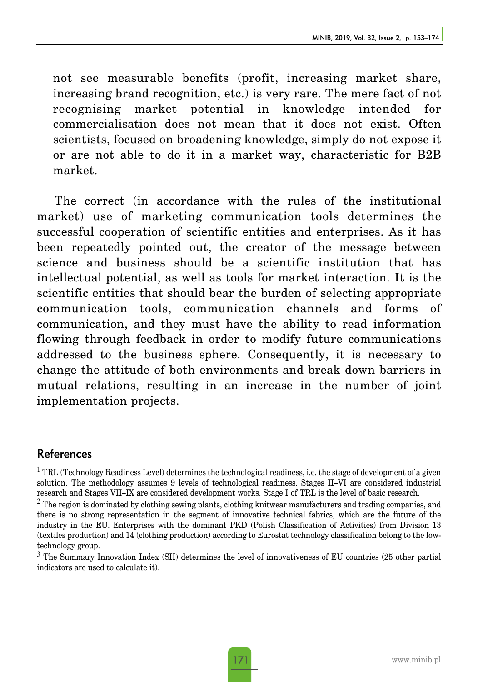not see measurable benefits (profit, increasing market share, increasing brand recognition, etc.) is very rare. The mere fact of not recognising market potential in knowledge intended for commercialisation does not mean that it does not exist. Often scientists, focused on broadening knowledge, simply do not expose it or are not able to do it in a market way, characteristic for B2B market.

The correct (in accordance with the rules of the institutional market) use of marketing communication tools determines the successful cooperation of scientific entities and enterprises. As it has been repeatedly pointed out, the creator of the message between science and business should be a scientific institution that has intellectual potential, as well as tools for market interaction. It is the scientific entities that should bear the burden of selecting appropriate communication tools, communication channels and forms of communication, and they must have the ability to read information flowing through feedback in order to modify future communications addressed to the business sphere. Consequently, it is necessary to change the attitude of both environments and break down barriers in mutual relations, resulting in an increase in the number of joint implementation projects.

# References

 $1$  TRL (Technology Readiness Level) determines the technological readiness, i.e. the stage of development of a given solution. The methodology assumes 9 levels of technological readiness. Stages II–VI are considered industrial research and Stages VII–IX are considered development works. Stage I of TRL is the level of basic research.

 $2$  The region is dominated by clothing sewing plants, clothing knitwear manufacturers and trading companies, and there is no strong representation in the segment of innovative technical fabrics, which are the future of the industry in the EU. Enterprises with the dominant PKD (Polish Classification of Activities) from Division 13 (textiles production) and 14 (clothing production) according to Eurostat technology classification belong to the lowtechnology group.

<sup>3</sup> The Summary Innovation Index (SII) determines the level of innovativeness of EU countries (25 other partial indicators are used to calculate it).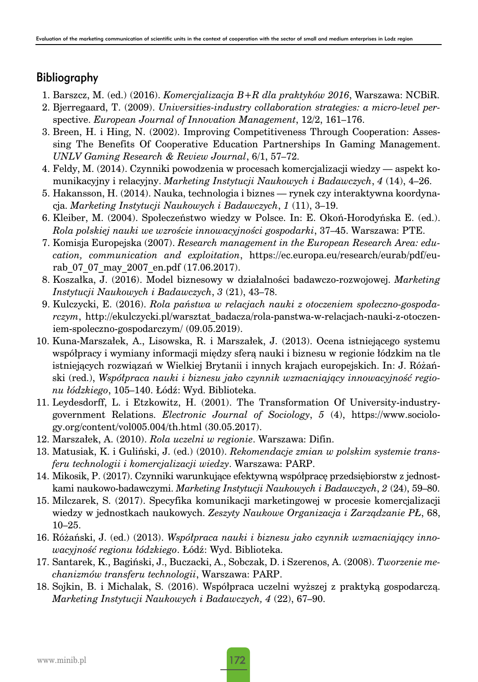# Bibliography

- 1. Barszcz, M. (ed.) (2016). *Komercjalizacja B+R dla praktyków 2016*, Warszawa: NCBiR.
- 2. Bjerregaard, T. (2009). *Universities-industry collaboration strategies: a micro-level per*spective. *European Journal of Innovation Management*, 12/2, 161–176.
- 3. Breen, H. i Hing, N. (2002). Improving Competitiveness Through Cooperation: Assessing The Benefits Of Cooperative Education Partnerships In Gaming Management. *UNLV Gaming Research & Review Journal*, 6/1, 57–72.
- 4. Feldy, M. (2014). Czynniki powodzenia w procesach komercjalizacji wiedzy aspekt komunikacyjny i relacyjny. *Marketing Instytucji Naukowych i Badawczych*, *4* (14), 4–26.
- 5. Hakansson, H. (2014). Nauka, technologia i biznes rynek czy interaktywna koordynacja. *Marketing Instytucji Naukowych i Badawczych*, *1* (11), 3–19.
- 6. Kleiber, M. (2004). Społeczeństwo wiedzy w Polsce. In: E. Okoń-Horodyńska E. (ed.). *Rola polskiej nauki we wzroście innowacyjności gospodarki*, 37–45. Warszawa: PTE.
- 7. Komisja Europejska (2007). *Research management in the European Research Area: education, communication and exploitation*, https://ec.europa.eu/research/eurab/pdf/eurab 07 07 may 2007 en.pdf (17.06.2017).
- 8. Koszałka, J. (2016). Model biznesowy w działalności badawczo-rozwojowej. *Marketing Instytucji Naukowych i Badawczych*, *3* (21), 43–78.
- 9. Kulczycki, E. (2016). *Rola państwa w relacjach nauki z otoczeniem społeczno-gospodarczym*, http://ekulczycki.pl/warsztat\_badacza/rola-panstwa-w-relacjach-nauki-z-otoczeniem-spoleczno-gospodarczym/ (09.05.2019).
- 10. Kuna-Marszałek, A., Lisowska, R. i Marszałek, J. (2013). Ocena istniejącego systemu współpracy i wymiany informacji między sferą nauki i biznesu w regionie łódzkim na tle istniejących rozwiązań w Wielkiej Brytanii i innych krajach europejskich. In: J. Różański (red.), *Współpraca nauki i biznesu jako czynnik wzmacniający innowacyjność regionu łódzkiego*, 105–140. Łódź: Wyd. Biblioteka.
- 11. Leydesdorff, L. i Etzkowitz, H. (2001). The Transformation Of University-industrygovernment Relations. *Electronic Journal of Sociology*, *5* (4), https://www.sociology.org/content/vol005.004/th.html (30.05.2017).
- 12. Marszałek, A. (2010). *Rola uczelni w regionie*. Warszawa: Difin.
- 13. Matusiak, K. i Guliński, J. (ed.) (2010). *Rekomendacje zmian w polskim systemie transferu technologii i komercjalizacji wiedzy*. Warszawa: PARP.
- 14. Mikosik, P. (2017). Czynniki warunkujące efektywną współpracę przedsiębiorstw z jednostkami naukowo-badawczymi. *Marketing Instytucji Naukowych i Badawczych*, *2* (24), 59–80.
- 15. Milczarek, S. (2017). Specyfika komunikacji marketingowej w procesie komercjalizacji wiedzy w jednostkach naukowych. *Zeszyty Naukowe Organizacja i Zarządzanie PŁ*, 68, 10–25.
- 16. Różański, J. (ed.) (2013). *Współpraca nauki i biznesu jako czynnik wzmacniający innowacyjność regionu łódzkiego*. Łódź: Wyd. Biblioteka.
- 17. Santarek, K., Bagiński, J., Buczacki, A., Sobczak, D. i Szerenos, A. (2008). *Tworzenie mechanizmów transferu technologii*, Warszawa: PARP.
- 18. Sojkin, B. i Michalak, S. (2016). Współpraca uczelni wyższej z praktyką gospodarczą. *Marketing Instytucji Naukowych i Badawczych, 4* (22), 67–90.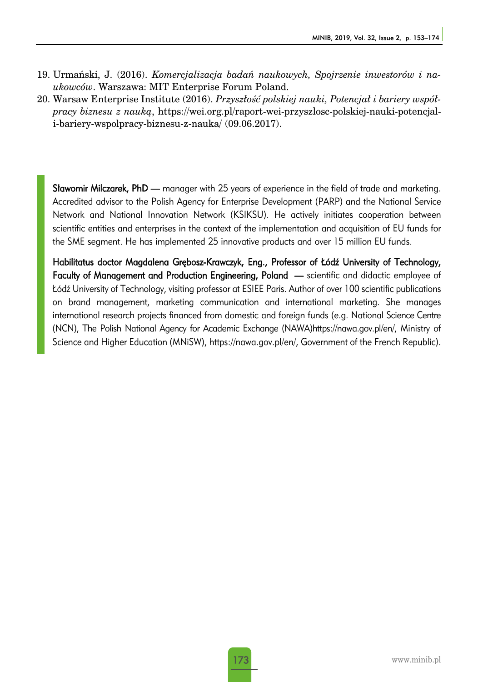- 19. Urmański, J. (2016). *Komercjalizacja badań naukowych, Spojrzenie inwestorów i naukowców*. Warszawa: MIT Enterprise Forum Poland.
- 20. Warsaw Enterprise Institute (2016). *Przyszłość polskiej nauki, Potencjał i bariery współpracy biznesu z nauką*, https://wei.org.pl/raport-wei-przyszlosc-polskiej-nauki-potencjali-bariery-wspolpracy-biznesu-z-nauka/ (09.06.2017).

**Sławomir Milczarek, PhD —** manager with 25 years of experience in the field of trade and marketing. Accredited advisor to the Polish Agency for Enterprise Development (PARP) and the National Service Network and National Innovation Network (KSIKSU). He actively initiates cooperation between scientific entities and enterprises in the context of the implementation and acquisition of EU funds for the SME segment. He has implemented 25 innovative products and over 15 million EU funds.

Habilitatus doctor Magdalena Grębosz-Krawczyk, Eng., Professor of Łódź University of Technology, Faculty of Management and Production Engineering, Poland — scientific and didactic employee of Łódź University of Technology, visiting professor at ESIEE Paris. Author of over 100 scientific publications on brand management, marketing communication and international marketing. She manages international research projects financed from domestic and foreign funds (e.g. National Science Centre (NCN), The Polish National Agency for Academic Exchange (NAWA)https://nawa.gov.pl/en/, Ministry of Science and Higher Education (MNiSW), https://nawa.gov.pl/en/, Government of the French Republic).